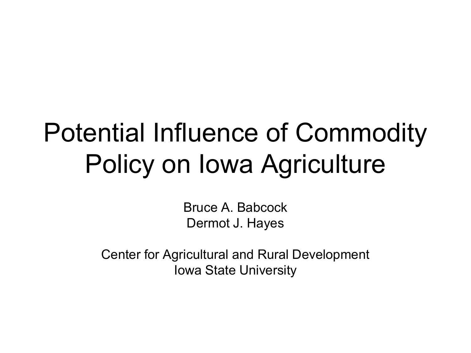#### Potential Influence of Commodity Policy on Iowa Agriculture

Bruce A. Babcock Dermot J. Hayes

Center for Agricultural and Rural Development Iowa State University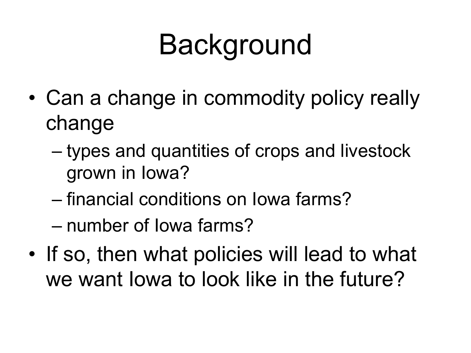# **Background**

- Can a change in commodity policy really change
	- types and quantities of crops and livestock grown in Iowa?
	- financial conditions on Iowa farms?
	- number of Iowa farms?
- If so, then what policies will lead to what we want Iowa to look like in the future?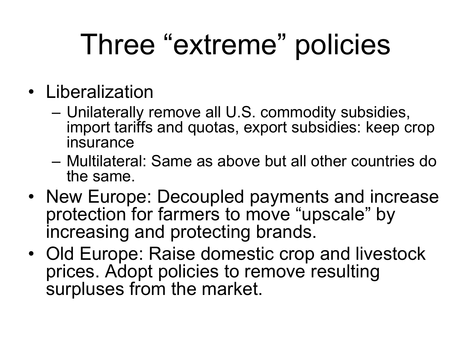# Three "extreme" policies

- Liberalization
	- Unilaterally remove all U.S. commodity subsidies, import tariffs and quotas, export subsidies: keep crop insurance
	- Multilateral: Same as above but all other countries do the same.
- New Europe: Decoupled payments and increase protection for farmers to move "upscale" by increasing and protecting brands.
- Old Europe: Raise domestic crop and livestock prices. Adopt policies to remove resulting surpluses from the market.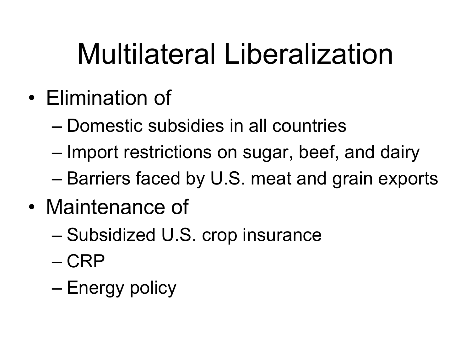# Multilateral Liberalization

- Elimination of
	- Domestic subsidies in all countries
	- Import restrictions on sugar, beef, and dairy
	- Barriers faced by U.S. meat and grain exports
- Maintenance of
	- Subsidized U.S. crop insurance
	- CRP
	- Energy policy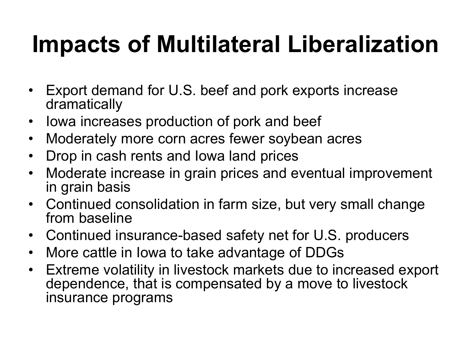#### **Impacts of Multilateral Liberalization**

- Export demand for U.S. beef and pork exports increase dramatically
- Iowa increases production of pork and beef
- Moderately more corn acres fewer soybean acres
- Drop in cash rents and Iowa land prices
- Moderate increase in grain prices and eventual improvement in grain basis
- Continued consolidation in farm size, but very small change from baseline
- Continued insurance-based safety net for U.S. producers
- More cattle in Iowa to take advantage of DDGs
- Extreme volatility in livestock markets due to increased export dependence, that is compensated by a move to livestock insurance programs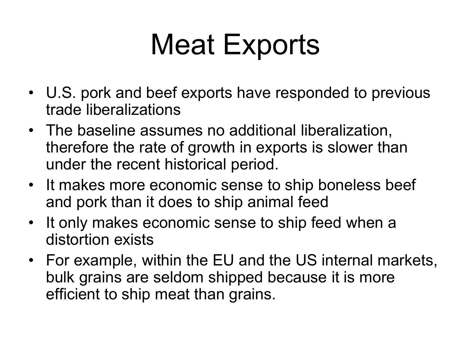## Meat Exports

- U.S. pork and beef exports have responded to previous trade liberalizations
- The baseline assumes no additional liberalization, therefore the rate of growth in exports is slower than under the recent historical period.
- It makes more economic sense to ship boneless beef and pork than it does to ship animal feed
- It only makes economic sense to ship feed when a distortion exists
- For example, within the EU and the US internal markets, bulk grains are seldom shipped because it is more efficient to ship meat than grains.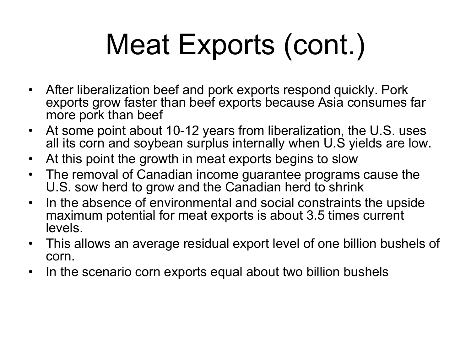# Meat Exports (cont.)

- After liberalization beef and pork exports respond quickly. Pork exports grow faster than beef exports because Asia consumes far more pork than beef
- At some point about 10-12 years from liberalization, the U.S. uses all its corn and soybean surplus internally when U.S yields are low.
- At this point the growth in meat exports begins to slow
- The removal of Canadian income guarantee programs cause the U.S. sow herd to grow and the Canadian herd to shrink
- In the absence of environmental and social constraints the upside maximum potential for meat exports is about 3.5 times current levels.
- This allows an average residual export level of one billion bushels of corn.
- In the scenario corn exports equal about two billion bushels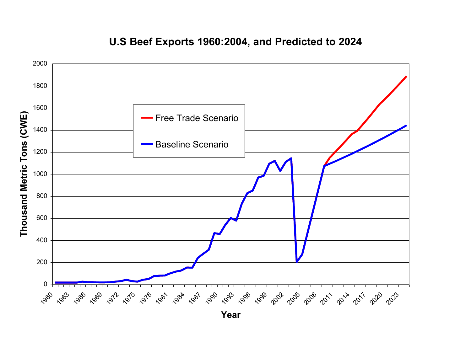

#### **U.S Beef Exports 1960:2004, and Predicted to 2024**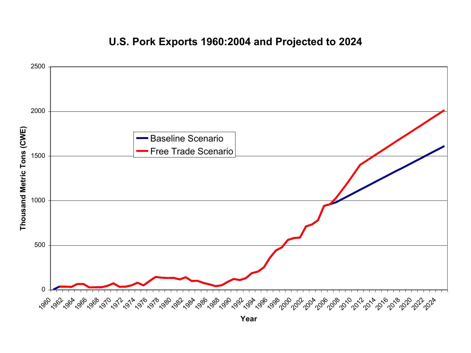

#### **U.S. Pork Exports 1960:2004 and Projected to 2024**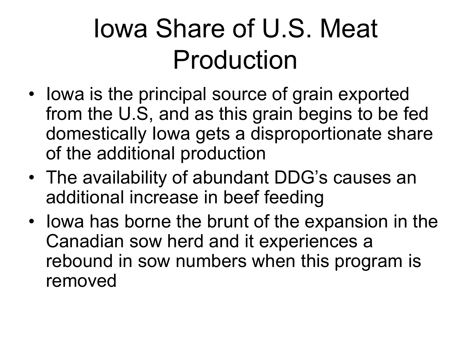#### Iowa Share of U.S. Meat Production

- Iowa is the principal source of grain exported from the U.S, and as this grain begins to be fed domestically Iowa gets a disproportionate share of the additional production
- The availability of abundant DDG's causes an additional increase in beef feeding
- Iowa has borne the brunt of the expansion in the Canadian sow herd and it experiences a rebound in sow numbers when this program is removed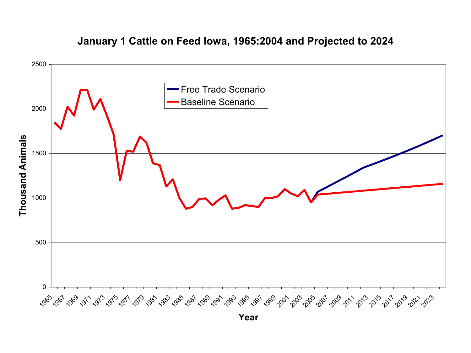

#### **January 1 Cattle on Feed Iowa, 1965:2004 and Projected to 2024**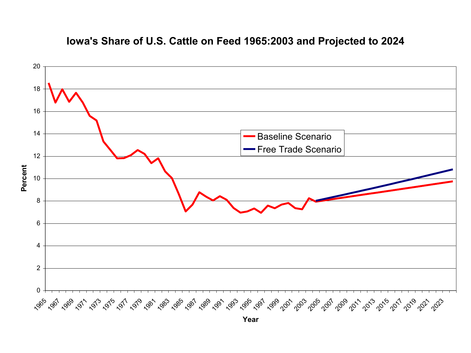

#### **Iowa's Share of U.S. Cattle on Feed 1965:2003 and Projected to 2024**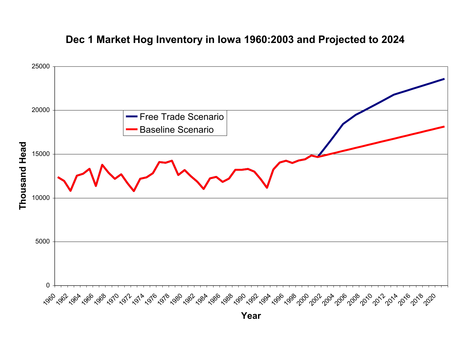

#### **Dec 1 Market Hog Inventory in Iowa 1960:2003 and Projected to 2024**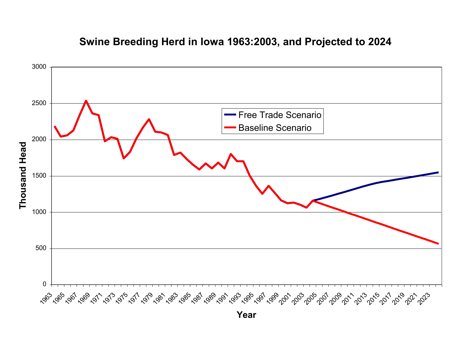

#### **Swine Breeding Herd in Iowa 1963:2003, and Projected to 2024**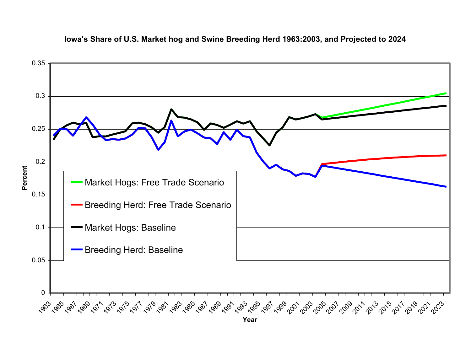

#### **Iowa's Share of U.S. Market hog and Swine Breeding Herd 1963:2003, and Projected to 2024**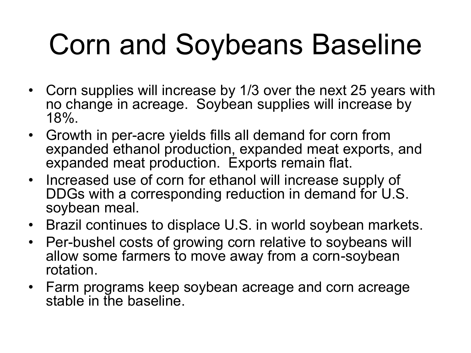# Corn and Soybeans Baseline

- Corn supplies will increase by 1/3 over the next 25 years with no change in acreage. Soybean supplies will increase by 18%.
- Growth in per-acre yields fills all demand for corn from expanded ethanol production, expanded meat exports, and expanded meat production. Exports remain flat.
- Increased use of corn for ethanol will increase supply of DDGs with a corresponding reduction in demand for U.S. soybean meal.
- Brazil continues to displace U.S. in world soybean markets.
- Per-bushel costs of growing corn relative to soybeans will allow some farmers to move away from a corn-soybean rotation.
- Farm programs keep soybean acreage and corn acreage stable in the baseline.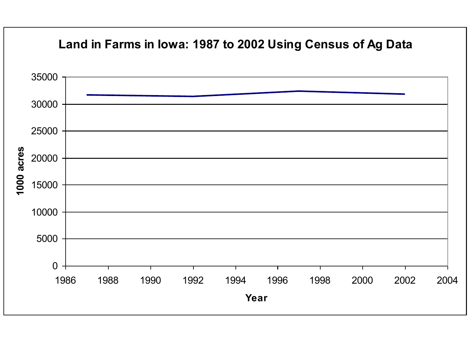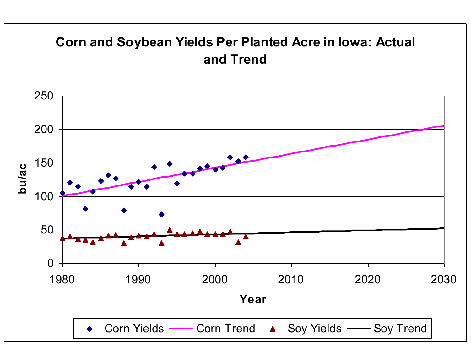#### **Corn and Soybean Yields Per Planted Acre in Iowa: Actual and Trend**

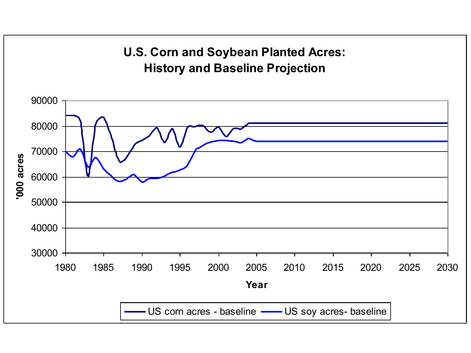![](_page_18_Figure_0.jpeg)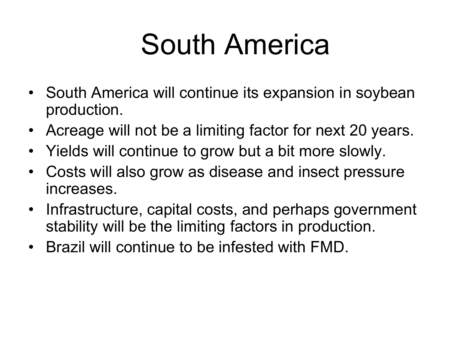# South America

- South America will continue its expansion in soybean production.
- Acreage will not be a limiting factor for next 20 years.
- Yields will continue to grow but a bit more slowly.
- Costs will also grow as disease and insect pressure increases.
- Infrastructure, capital costs, and perhaps government stability will be the limiting factors in production.
- Brazil will continue to be infested with FMD.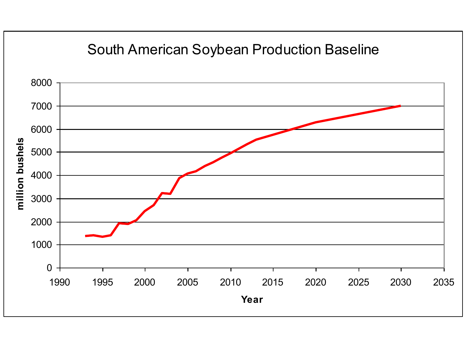![](_page_20_Figure_0.jpeg)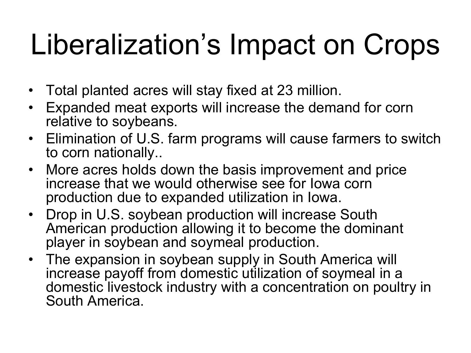# Liberalization's Impact on Crops

- Total planted acres will stay fixed at 23 million.
- Expanded meat exports will increase the demand for corn relative to soybeans.
- Elimination of U.S. farm programs will cause farmers to switch to corn nationally..
- More acres holds down the basis improvement and price increase that we would otherwise see for Iowa corn production due to expanded utilization in Iowa.
- Drop in U.S. soybean production will increase South American production allowing it to become the dominant player in soybean and soymeal production.
- The expansion in soybean supply in South America will increase payoff from domestic utilization of soymeal in a domestic livestock industry with a concentration on poultry in South America.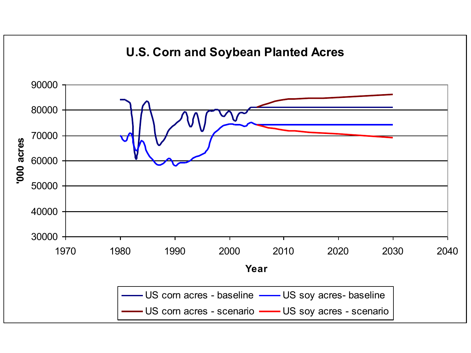![](_page_22_Figure_0.jpeg)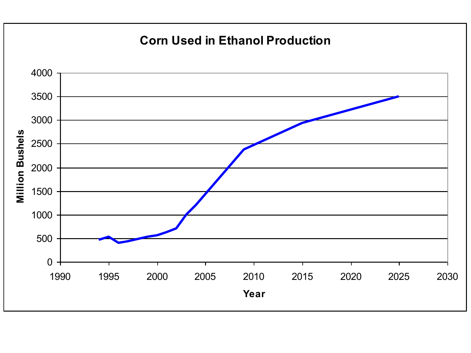![](_page_23_Figure_0.jpeg)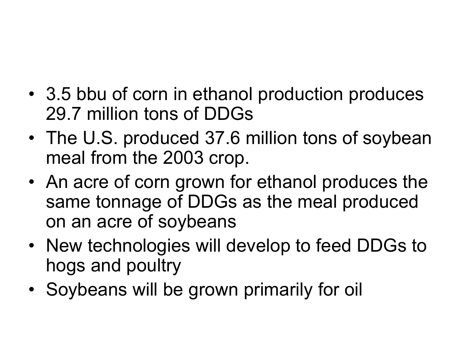- 3.5 bbu of corn in ethanol production produces 29.7 million tons of DDGs
- The U.S. produced 37.6 million tons of soybean meal from the 2003 crop.
- An acre of corn grown for ethanol produces the same tonnage of DDGs as the meal produced on an acre of soybeans
- New technologies will develop to feed DDGs to hogs and poultry
- Soybeans will be grown primarily for oil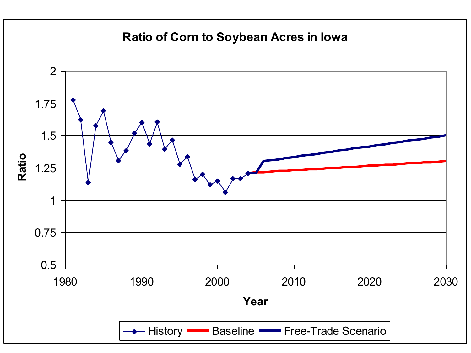#### **Ratio of Corn to Soybean Acres in Iowa**

![](_page_25_Figure_1.jpeg)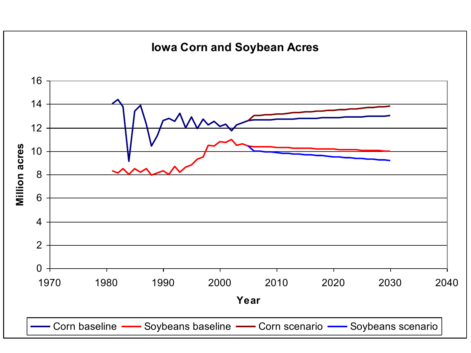![](_page_26_Figure_0.jpeg)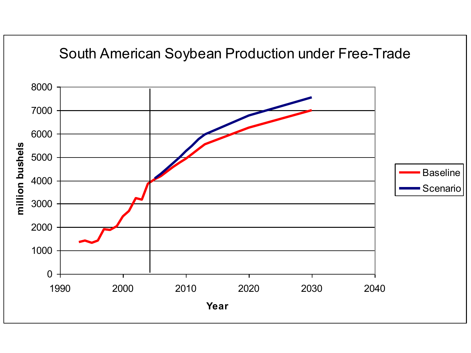![](_page_27_Figure_0.jpeg)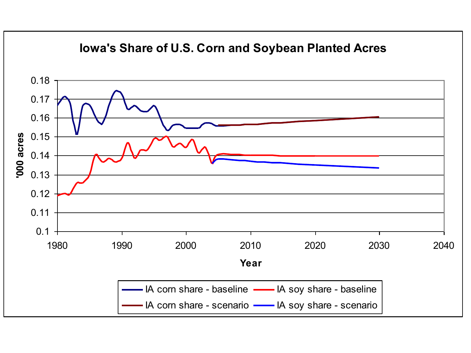![](_page_28_Figure_0.jpeg)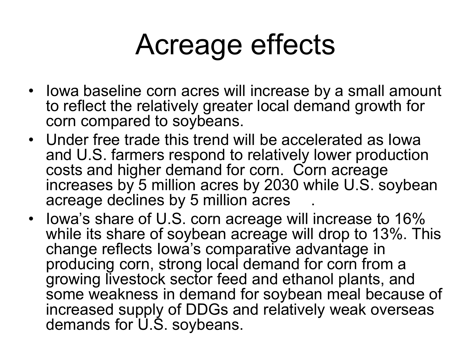## Acreage effects

- Iowa baseline corn acres will increase by a small amount to reflect the relatively greater local demand growth for corn compared to soybeans.
- Under free trade this trend will be accelerated as Iowa and U.S. farmers respond to relatively lower production costs and higher demand for corn. Corn acreage increases by 5 million acres by 2030 while U.S. soybean acreage declines by 5 million acres
- Iowa's share of U.S. corn acreage will increase to 16% while its share of soybean acreage will drop to 13%. This change reflects Iowa's comparative advantage in producing corn, strong local demand for corn from a growing livestock sector feed and ethanol plants, and some weakness in demand for soybean meal because of increased supply of DDGs and relatively weak overseas demands for U.S. soybeans.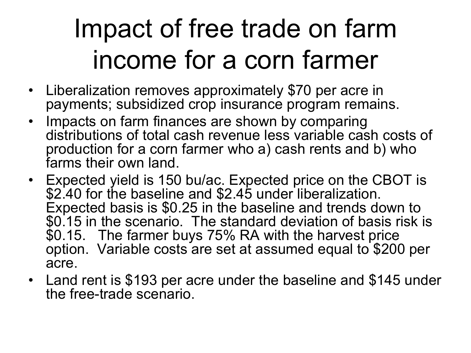#### Impact of free trade on farm income for a corn farmer

- Liberalization removes approximately \$70 per acre in payments; subsidized crop insurance program remains.
- Impacts on farm finances are shown by comparing distributions of total cash revenue less variable cash costs of production for a corn farmer who a) cash rents and b) who farms their own land.
- Expected yield is 150 bu/ac. Expected price on the CBOT is \$2.40 for the baseline and \$2.45 under liberalization. Expected basis is \$0.25 in the baseline and trends down to \$0.15 in the scenario. The standard deviation of basis risk is \$0.15. The farmer buys 75% RA with the harvest price option. Variable costs are set at assumed equal to \$200 per acre.
- Land rent is \$193 per acre under the baseline and \$145 under the free-trade scenario.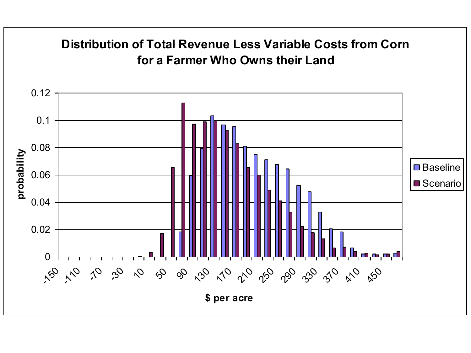![](_page_31_Figure_0.jpeg)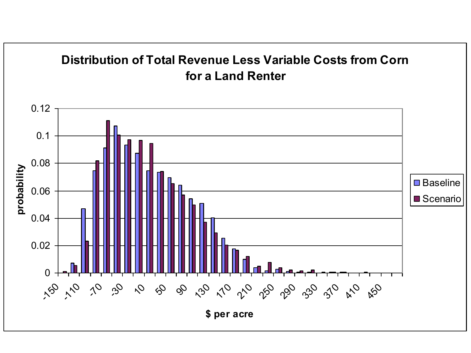![](_page_32_Figure_0.jpeg)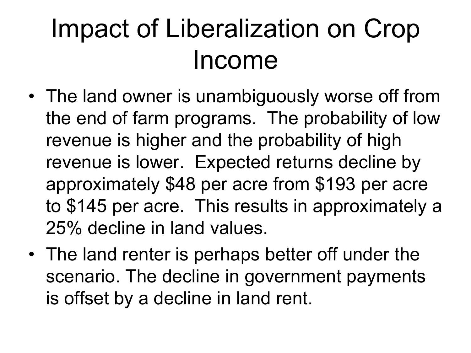#### Impact of Liberalization on Crop Income

- The land owner is unambiguously worse off from the end of farm programs. The probability of low revenue is higher and the probability of high revenue is lower. Expected returns decline by approximately \$48 per acre from \$193 per acre to \$145 per acre. This results in approximately a 25% decline in land values.
- The land renter is perhaps better off under the scenario. The decline in government payments is offset by a decline in land rent.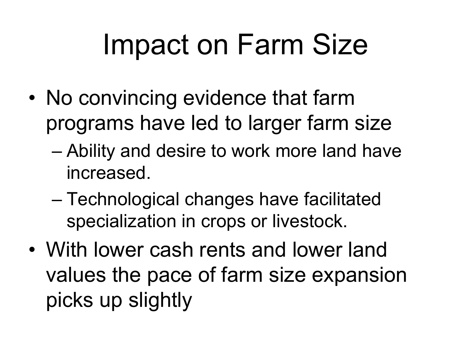# Impact on Farm Size

- No convincing evidence that farm programs have led to larger farm size
	- Ability and desire to work more land have increased.
	- Technological changes have facilitated specialization in crops or livestock.
- With lower cash rents and lower land values the pace of farm size expansion picks up slightly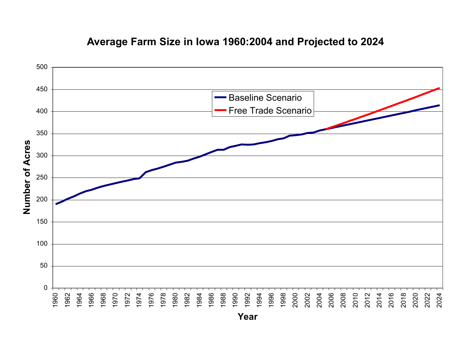![](_page_35_Figure_0.jpeg)

#### **Average Farm Size in Iowa 1960:2004 and Projected to 2024**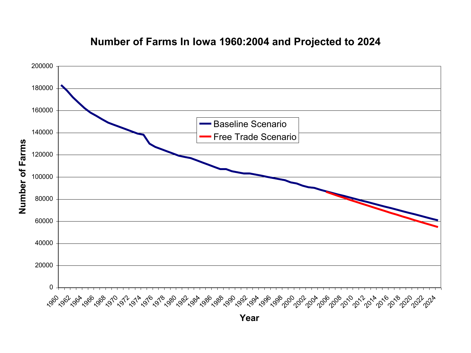![](_page_36_Figure_0.jpeg)

#### **Number of Farms In Iowa 1960:2004 and Projected to 2024**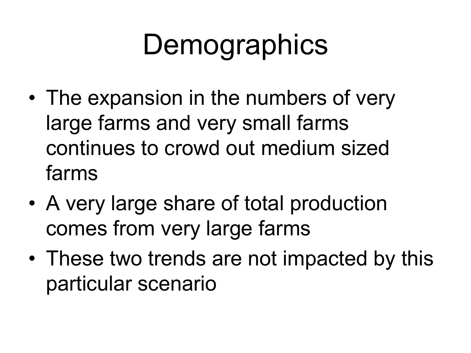# **Demographics**

- The expansion in the numbers of very large farms and very small farms continues to crowd out medium sized farms
- A very large share of total production comes from very large farms
- These two trends are not impacted by this particular scenario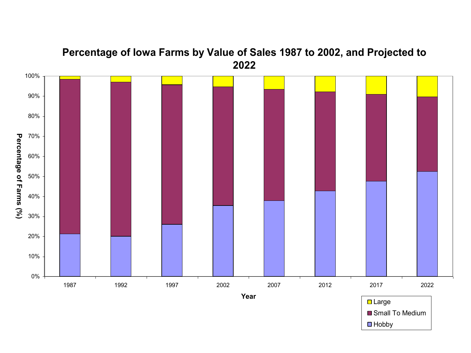![](_page_38_Figure_0.jpeg)

#### **Percentage of Iowa Farms by Value of Sales 1987 to 2002, and Projected to**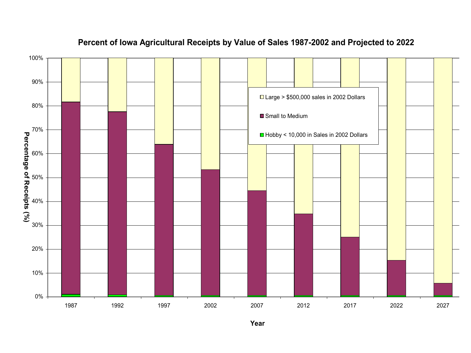![](_page_39_Figure_0.jpeg)

#### **Percent of Iowa Agricultural Receipts by Value of Sales 1987-2002 and Projected to 2022**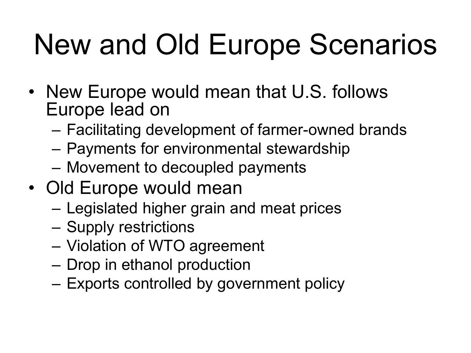# New and Old Europe Scenarios

- New Europe would mean that U.S. follows Europe lead on
	- Facilitating development of farmer-owned brands
	- Payments for environmental stewardship
	- Movement to decoupled payments
- Old Europe would mean
	- Legislated higher grain and meat prices
	- Supply restrictions
	- Violation of WTO agreement
	- Drop in ethanol production
	- Exports controlled by government policy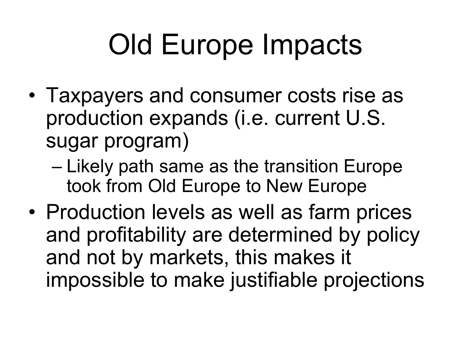# Old Europe Impacts

- Taxpayers and consumer costs rise as production expands (i.e. current U.S. sugar program)
	- Likely path same as the transition Europe took from Old Europe to New Europe
- Production levels as well as farm prices and profitability are determined by policy and not by markets, this makes it impossible to make justifiable projections